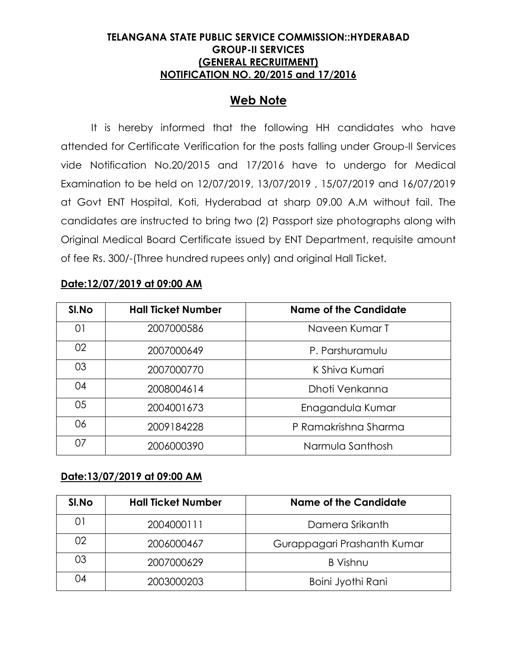### **TELANGANA STATE PUBLIC SERVICE COMMISSION::HYDERABAD GROUP-II SERVICES (GENERAL RECRUITMENT) NOTIFICATION NO. 20/2015 and 17/2016**

# **Web Note**

It is hereby informed that the following HH candidates who have attended for Certificate Verification for the posts falling under Group-II Services vide Notification No.20/2015 and 17/2016 have to undergo for Medical Examination to be held on 12/07/2019, 13/07/2019 , 15/07/2019 and 16/07/2019 at Govt ENT Hospital, Koti, Hyderabad at sharp 09.00 A.M without fail. The candidates are instructed to bring two (2) Passport size photographs along with Original Medical Board Certificate issued by ENT Department, requisite amount of fee Rs. 300/-(Three hundred rupees only) and original Hall Ticket.

#### **Date:12/07/2019 at 09:00 AM**

| SI.No | <b>Hall Ticket Number</b> | <b>Name of the Candidate</b> |
|-------|---------------------------|------------------------------|
| 01    | 2007000586                | Naveen Kumar T               |
| 02    | 2007000649                | P. Parshuramulu              |
| 03    | 2007000770                | K Shiva Kumari               |
| 04    | 2008004614                | Dhoti Venkanna               |
| 05    | 2004001673                | Enagandula Kumar             |
| 06    | 2009184228                | P Ramakrishna Sharma         |
| 07    | 2006000390                | Narmula Santhosh             |

#### **Date:13/07/2019 at 09:00 AM**

| SI.No | <b>Hall Ticket Number</b> | <b>Name of the Candidate</b> |
|-------|---------------------------|------------------------------|
| 01    | 2004000111                | Damera Srikanth              |
| 02    | 2006000467                | Gurappagari Prashanth Kumar  |
| 03    | 2007000629                | B Vishnu                     |
| 04    | 2003000203                | Boini Jyothi Rani            |